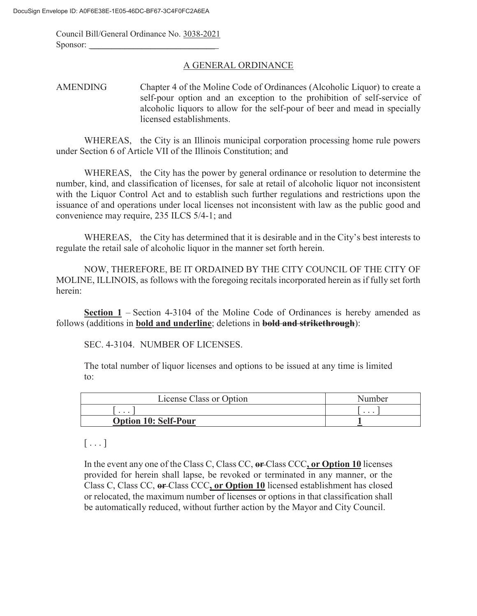Council Bill/General Ordinance No. 3038-2021 Sponsor:

#### A GENERAL ORDINANCE

### AMENDING Chapter 4 of the Moline Code of Ordinances (Alcoholic Liquor) to create a self-pour option and an exception to the prohibition of self-service of alcoholic liquors to allow for the self-pour of beer and mead in specially licensed establishments.

WHEREAS, the City is an Illinois municipal corporation processing home rule powers under Section 6 of Article VII of the Illinois Constitution; and

WHEREAS, the City has the power by general ordinance or resolution to determine the number, kind, and classification of licenses, for sale at retail of alcoholic liquor not inconsistent with the Liquor Control Act and to establish such further regulations and restrictions upon the issuance of and operations under local licenses not inconsistent with law as the public good and convenience may require, 235 ILCS 5/4-1; and

WHEREAS, the City has determined that it is desirable and in the City's best interests to regulate the retail sale of alcoholic liquor in the manner set forth herein.

NOW, THEREFORE, BE IT ORDAINED BY THE CITY COUNCIL OF THE CITY OF MOLINE, ILLINOIS, as follows with the foregoing recitals incorporated herein as if fully set forth herein:

**Section 1** – Section 4-3104 of the Moline Code of Ordinances is hereby amended as follows (additions in **bold and underline**; deletions in **bold and strikethrough**):

SEC. 4-3104. NUMBER OF LICENSES.

The total number of liquor licenses and options to be issued at any time is limited to:

| License Class or Option     | Number   |
|-----------------------------|----------|
| $\cdots$                    | $\cdots$ |
| <b>Option 10: Self-Pour</b> |          |

# $[\ldots]$

In the event any one of the Class C, Class CC, **or** Class CCC**, or Option 10** licenses provided for herein shall lapse, be revoked or terminated in any manner, or the Class C, Class CC, **or** Class CCC**, or Option 10** licensed establishment has closed or relocated, the maximum number of licenses or options in that classification shall be automatically reduced, without further action by the Mayor and City Council.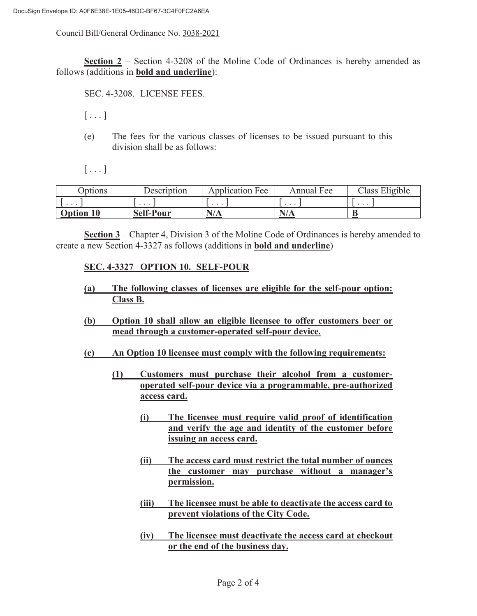Council Bill/General Ordinance No. 3038-2021

**Section 2** – Section 4-3208 of the Moline Code of Ordinances is hereby amended as follows (additions in **bold and underline**):

SEC. 4-3208. LICENSE FEES.

 $[\ldots]$ 

(e) The fees for the various classes of licenses to be issued pursuant to this division shall be as follows:

 $[\ldots]$ 

| <b>Options</b>   | Description      | <b>Application Fee</b> | Annual Fee | Class Eligible |
|------------------|------------------|------------------------|------------|----------------|
| $\cdots$         | $\cdots$         | $\cdots$               | $\cdots$   | $\cdots$       |
| <b>Option 10</b> | <b>Self-Pour</b> | N/A                    |            |                |

**Section 3** – Chapter 4, Division 3 of the Moline Code of Ordinances is hereby amended to create a new Section 4-3327 as follows (additions in **bold and underline**)

## **SEC. 4-3327 OPTION 10. SELF-POUR**

- **(a) The following classes of licenses are eligible for the self-pour option: Class B.**
- **(b) Option 10 shall allow an eligible licensee to offer customers beer or mead through a customer-operated self-pour device.**
- **(c) An Option 10 licensee must comply with the following requirements:** 
	- **(1) Customers must purchase their alcohol from a customeroperated self-pour device via a programmable, pre-authorized access card.** 
		- **(i) The licensee must require valid proof of identification and verify the age and identity of the customer before issuing an access card.**
		- **(ii) The access card must restrict the total number of ounces the customer may purchase without a manager's permission.**
		- **(iii) The licensee must be able to deactivate the access card to prevent violations of the City Code.**
		- **(iv) The licensee must deactivate the access card at checkout or the end of the business day.**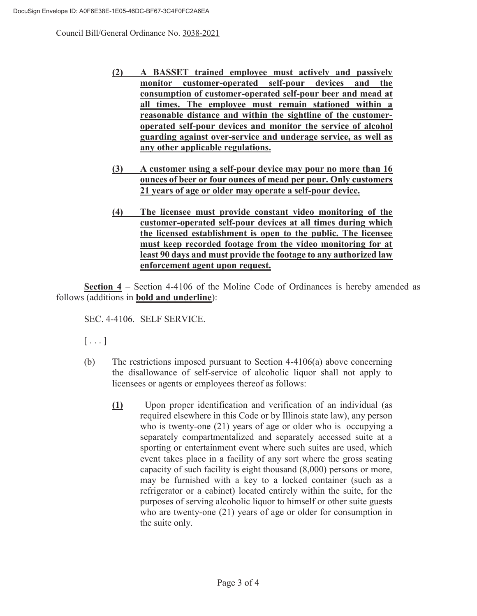Council Bill/General Ordinance No. 3038-2021

- **(2) A BASSET trained employee must actively and passively monitor customer-operated self-pour devices and the consumption of customer-operated self-pour beer and mead at all times. The employee must remain stationed within a reasonable distance and within the sightline of the customeroperated self-pour devices and monitor the service of alcohol guarding against over-service and underage service, as well as any other applicable regulations.**
- **(3) A customer using a self-pour device may pour no more than 16 ounces of beer or four ounces of mead per pour. Only customers 21 years of age or older may operate a self-pour device.**
- **(4) The licensee must provide constant video monitoring of the customer-operated self-pour devices at all times during which the licensed establishment is open to the public. The licensee must keep recorded footage from the video monitoring for at least 90 days and must provide the footage to any authorized law enforcement agent upon request.**

**Section 4** – Section 4-4106 of the Moline Code of Ordinances is hereby amended as follows (additions in **bold and underline**):

SEC. 4-4106. SELF SERVICE.

 $[\ldots]$ 

- (b) The restrictions imposed pursuant to Section 4-4106(a) above concerning the disallowance of self-service of alcoholic liquor shall not apply to licensees or agents or employees thereof as follows:
	- **(1)** Upon proper identification and verification of an individual (as required elsewhere in this Code or by Illinois state law), any person who is twenty-one (21) years of age or older who is occupying a separately compartmentalized and separately accessed suite at a sporting or entertainment event where such suites are used, which event takes place in a facility of any sort where the gross seating capacity of such facility is eight thousand (8,000) persons or more, may be furnished with a key to a locked container (such as a refrigerator or a cabinet) located entirely within the suite, for the purposes of serving alcoholic liquor to himself or other suite guests who are twenty-one (21) years of age or older for consumption in the suite only.